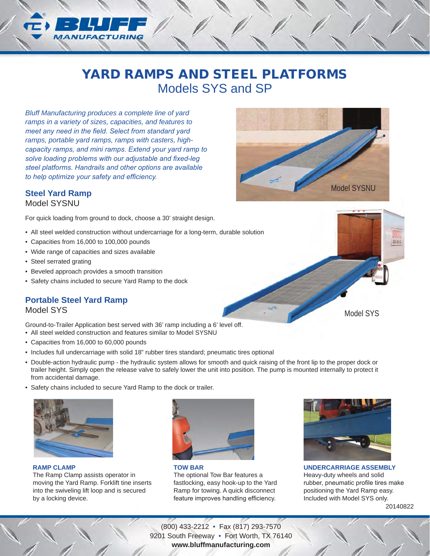# YARD RAMPS AND STEEL PLATFORMS Models SYS and SP

*Bluff Manufacturing produces a complete line of yard ramps in a variety of sizes, capacities, and features to meet any need in the field. Select from standard yard ramps, portable yard ramps, ramps with casters, highcapacity ramps, and mini ramps. Extend your yard ramp to solve loading problems with our adjustable and fixed-leg steel platforms. Handrails and other options are available to help optimize your safety and efficiency.* 

#### **Steel Yard Ramp**

Model SYSNU

For quick loading from ground to dock, choose a 30' straight design.

- All steel welded construction without undercarriage for a long-term, durable solution
- Capacities from 16,000 to 100,000 pounds
- Wide range of capacities and sizes available
- Steel serrated grating
- Beveled approach provides a smooth transition
- Safety chains included to secure Yard Ramp to the dock

## **Portable Steel Yard Ramp**

Model SYS

Ground-to-Trailer Application best served with 36' ramp including a 6' level off. • All steel welded construction and features similar to Model SYSNU

- Capacities from 16,000 to 60,000 pounds
- Includes full undercarriage with solid 18" rubber tires standard; pneumatic tires optional
- Double-action hydraulic pump the hydraulic system allows for smooth and quick raising of the front lip to the proper dock or trailer height. Simply open the release valve to safely lower the unit into position. The pump is mounted internally to protect it from accidental damage.
- Safety chains included to secure Yard Ramp to the dock or trailer.



**RAMP CLAMP**

The Ramp Clamp assists operator in moving the Yard Ramp. Forklift tine inserts into the swiveling lift loop and is secured by a locking device.



**TOW BAR** The optional Tow Bar features a fastlocking, easy hook-up to the Yard Ramp for towing. A quick disconnect feature improves handling efficiency.



20140822 **UNDERCARRIAGE ASSEMBLY** Heavy-duty wheels and solid rubber, pneumatic profile tires make positioning the Yard Ramp easy. Included with Model SYS only.

(800) 433-2212 • Fax (817) 293-7570 9201 South Freeway • Fort Worth, TX 76140 **www.bluffmanufacturing.com**

Model SYS

Model SYSNU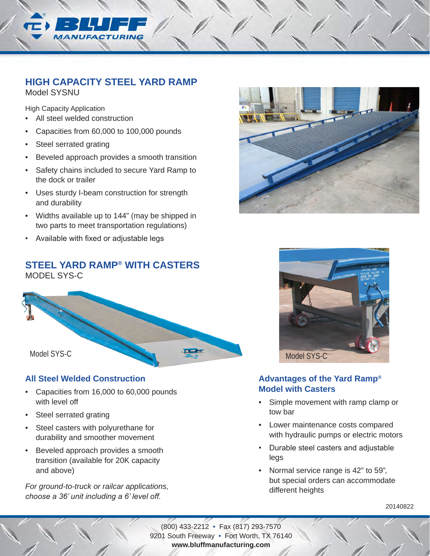

## **HIGH CAPACITY STEEL YARD RAMP**

Model SYSNU

High Capacity Application

- All steel welded construction
- Capacities from 60,000 to 100,000 pounds
- Steel serrated grating
- Beveled approach provides a smooth transition
- Safety chains included to secure Yard Ramp to the dock or trailer
- Uses sturdy I-beam construction for strength and durability
- Widths available up to 144" (may be shipped in two parts to meet transportation regulations)
- Available with fixed or adjustable legs

## **STEEL YARD RAMP® WITH CASTERS** MODEL SYS-C



### **All Steel Welded Construction**

- Capacities from 16,000 to 60,000 pounds with level off
- Steel serrated grating
- Steel casters with polyurethane for durability and smoother movement
- Beveled approach provides a smooth transition (available for 20K capacity and above)

*For ground-to-truck or railcar applications, choose a 36' unit including a 6' level off.* 





### **Advantages of the Yard Ramp® Model with Casters**

- Simple movement with ramp clamp or tow bar
- Lower maintenance costs compared with hydraulic pumps or electric motors
- Durable steel casters and adjustable legs
- Normal service range is 42" to 59", but special orders can accommodate different heights

20140822

(800) 433-2212 • Fax (817) 293-7570 9201 South Freeway • Fort Worth, TX 76140 **www.bluffmanufacturing.com**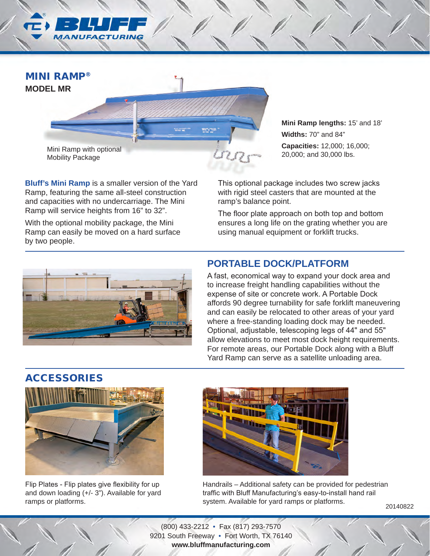

**Bluff's Mini Ramp** is a smaller version of the Yard Ramp, featuring the same all-steel construction and capacities with no undercarriage. The Mini Ramp will service heights from 16" to 32".

With the optional mobility package, the Mini Ramp can easily be moved on a hard surface by two people.

**Mini Ramp lengths:** 15' and 18' **Widths:** 70" and 84" **Capacities:** 12,000; 16,000; 20,000; and 30,000 lbs.

This optional package includes two screw jacks with rigid steel casters that are mounted at the ramp's balance point.

The floor plate approach on both top and bottom ensures a long life on the grating whether you are using manual equipment or forklift trucks.



## **PORTABLE DOCK/PLATFORM**

A fast, economical way to expand your dock area and to increase freight handling capabilities without the expense of site or concrete work. A Portable Dock affords 90 degree turnability for safe forklift maneuvering and can easily be relocated to other areas of your yard where a free-standing loading dock may be needed. Optional, adjustable, telescoping legs of 44" and 55" allow elevations to meet most dock height requirements. For remote areas, our Portable Dock along with a Bluff Yard Ramp can serve as a satellite unloading area.

## ACCESSORIES



Flip Plates - Flip plates give flexibility for up and down loading (+/- 3"). Available for yard ramps or platforms.



Handrails – Additional safety can be provided for pedestrian traffic with Bluff Manufacturing's easy-to-install hand rail system. Available for yard ramps or platforms.

20140822

(800) 433-2212 • Fax (817) 293-7570 9201 South Freeway • Fort Worth, TX 76140 **www.bluffmanufacturing.com**